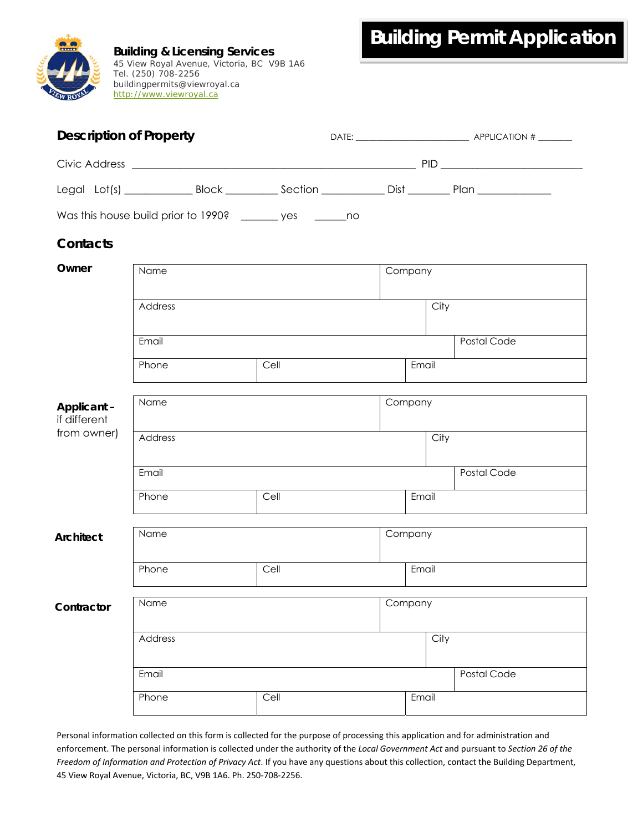**TOWING CONSUMING PERMIT Application** 



*Building & Licensing Services* 45 View Royal Avenue, Victoria, BC V9B 1A6 Tel. (250) 708-2256 buildingpermits@viewroyal.ca http://www.viewroyal.ca

| <b>Description of Property</b>                             |         |         |         |             |  |  |  |
|------------------------------------------------------------|---------|---------|---------|-------------|--|--|--|
|                                                            |         |         |         |             |  |  |  |
|                                                            |         |         |         |             |  |  |  |
| Was this house build prior to 1990? _______ yes _______ no |         |         |         |             |  |  |  |
| <b>Contacts</b>                                            |         |         |         |             |  |  |  |
| Owner                                                      | Name    | Company |         |             |  |  |  |
|                                                            | Address |         |         | City        |  |  |  |
|                                                            | Email   |         |         | Postal Code |  |  |  |
|                                                            | Phone   | Cell    | Email   |             |  |  |  |
| Applicant-<br>if different                                 | Name    |         | Company |             |  |  |  |
| from owner)                                                | Address |         |         | City        |  |  |  |
|                                                            | Email   |         |         | Postal Code |  |  |  |
|                                                            | Phone   | Cell    | Email   |             |  |  |  |
| Architect                                                  | Name    |         | Company |             |  |  |  |
|                                                            | Phone   | Cell    | Email   |             |  |  |  |
| Contractor                                                 | Name    |         | Company |             |  |  |  |
|                                                            | Address |         |         | City        |  |  |  |
|                                                            | Email   |         |         | Postal Code |  |  |  |
|                                                            | Phone   | Cell    | Email   |             |  |  |  |

Personal information collected on this form is collected for the purpose of processing this application and for administration and enforcement. The personal information is collected under the authority of the *Local Government Act* and pursuant to *Section 26 of the Freedom of Information and Protection of Privacy Act*. If you have any questions about this collection, contact the Building Department, 45 View Royal Avenue, Victoria, BC, V9B 1A6. Ph. 250‐708‐2256.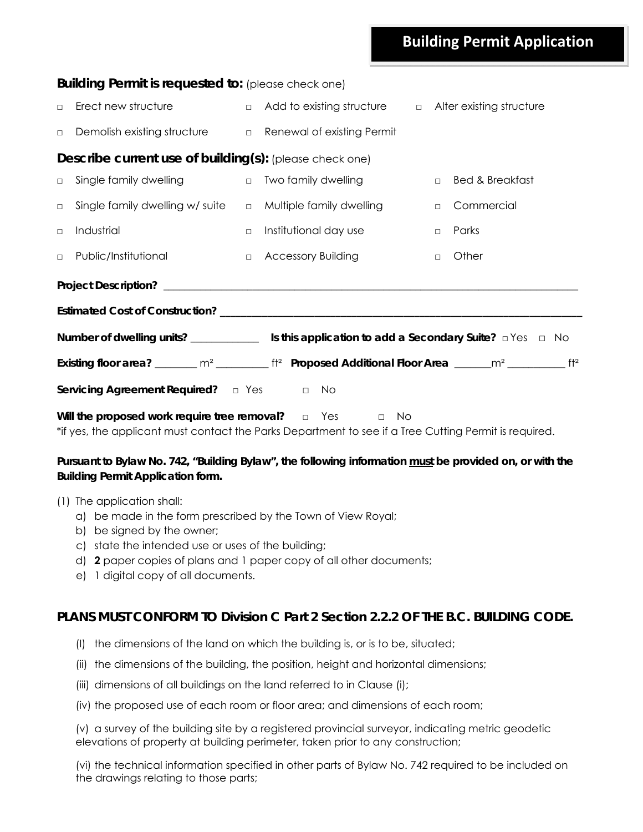# **Building Permit Application**

| Building Permit is requested to: (please check one)                                                                                                                        |                                                  |  |                                                                |  |                   |  |  |  |
|----------------------------------------------------------------------------------------------------------------------------------------------------------------------------|--------------------------------------------------|--|----------------------------------------------------------------|--|-------------------|--|--|--|
| n Erect new structure                                                                                                                                                      |                                                  |  | a Add to existing structure and Alter existing structure       |  |                   |  |  |  |
|                                                                                                                                                                            |                                                  |  | Demolish existing structure and a Renewal of existing Permit   |  |                   |  |  |  |
| Describe current use of building(s): (please check one)                                                                                                                    |                                                  |  |                                                                |  |                   |  |  |  |
|                                                                                                                                                                            |                                                  |  | a Single family dwelling a state of two family dwelling        |  | □ Bed & Breakfast |  |  |  |
|                                                                                                                                                                            |                                                  |  | a Single family dwelling w/ suite a a Multiple family dwelling |  | n Commercial      |  |  |  |
| Industrial<br>$\Box$                                                                                                                                                       |                                                  |  | $\Box$ Institutional day use                                   |  | <b>D</b> Parks    |  |  |  |
|                                                                                                                                                                            | □ Public/Institutional and DanaCcessory Building |  |                                                                |  | n Other           |  |  |  |
|                                                                                                                                                                            |                                                  |  |                                                                |  |                   |  |  |  |
|                                                                                                                                                                            |                                                  |  |                                                                |  |                   |  |  |  |
| Number of dwelling units? _________________ Is this application to add a Secondary Suite? □ Yes □ No                                                                       |                                                  |  |                                                                |  |                   |  |  |  |
| Existing floor area? _______ m <sup>2</sup> _________ f <sup>†2</sup> Proposed Additional Floor Area ______ m <sup>2</sup> __________ f <sup>†2</sup>                      |                                                  |  |                                                                |  |                   |  |  |  |
|                                                                                                                                                                            |                                                  |  |                                                                |  |                   |  |  |  |
| Will the proposed work require tree removal? $\Box$ Yes $\Box$ No<br>*if yes, the applicant must contact the Parks Department to see if a Tree Cutting Permit is required. |                                                  |  |                                                                |  |                   |  |  |  |

# **Pursuant to Bylaw No. 742,** *"Building Bylaw"***, the following information must be provided on, or with the Building Permit Application form.**

#### (1) The application shall:

- a) be made in the form prescribed by the Town of View Royal;
- b) be signed by the owner;
- c) state the intended use or uses of the building;
- d) **2** paper copies of plans and 1 paper copy of all other documents;
- e) 1 digital copy of all documents.

# **PLANS MUST CONFORM TO Division C Part 2 Section 2.2.2 OF THE B.C. BUILDING CODE.**

- (I) the dimensions of the land on which the building is, or is to be, situated;
- (ii) the dimensions of the building, the position, height and horizontal dimensions;
- (iii) dimensions of all buildings on the land referred to in Clause (i);
- (iv) the proposed use of each room or floor area; and dimensions of each room;

(v) a survey of the building site by a registered provincial surveyor, indicating metric geodetic elevations of property at building perimeter, taken prior to any construction;

(vi) the technical information specified in other parts of Bylaw No. 742 required to be included on the drawings relating to those parts;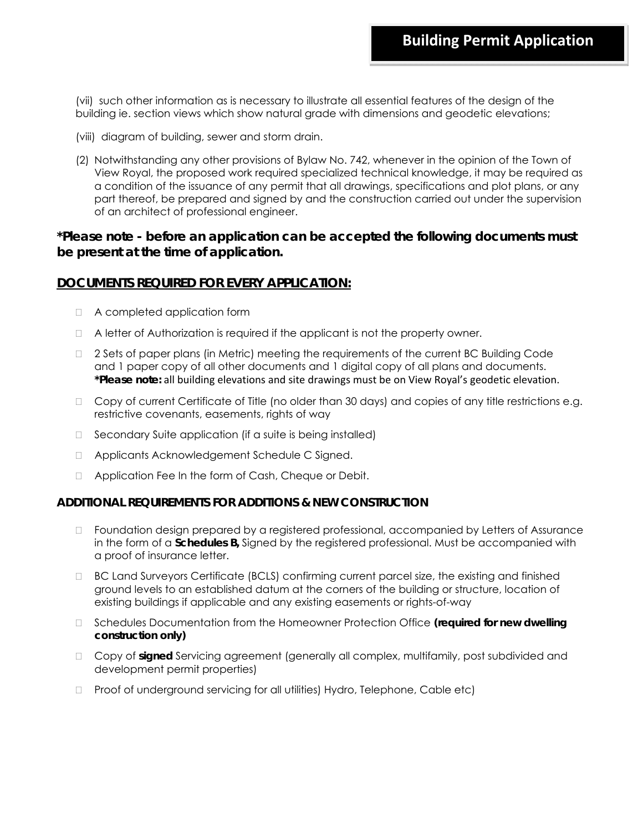(vii) such other information as is necessary to illustrate all essential features of the design of the building ie. section views which show natural grade with dimensions and geodetic elevations;

- (viii) diagram of building, sewer and storm drain.
- (2) Notwithstanding any other provisions of Bylaw No. 742, whenever in the opinion of the Town of View Royal, the proposed work required specialized technical knowledge, it may be required as a condition of the issuance of any permit that all drawings, specifications and plot plans, or any part thereof, be prepared and signed by and the construction carried out under the supervision of an architect of professional engineer.

# *\*Please note - before an application can be accepted the following documents must be present at the time of application.*

## *DOCUMENTS REQUIRED FOR EVERY APPLICATION:*

- □ A completed application form
- $\Box$  A letter of Authorization is required if the applicant is not the property owner.
- □ 2 Sets of paper plans (in Metric) meeting the requirements of the current BC Building Code and 1 paper copy of all other documents and 1 digital copy of all plans and documents. **\*Please note:** all building elevations and site drawings must be on View Royal's geodetic elevation.
- $\Box$  Copy of current Certificate of Title (no older than 30 days) and copies of any title restrictions e.g. restrictive covenants, easements, rights of way
- $\Box$  Secondary Suite application (if a suite is being installed)
- Applicants Acknowledgement Schedule C Signed.
- □ Application Fee In the form of Cash, Cheque or Debit.

#### **ADDITIONAL REQUIREMENTS FOR ADDITIONS & NEW CONSTRUCTION**

- □ Foundation design prepared by a registered professional, accompanied by Letters of Assurance in the form of a **Schedules B,** Signed by the registered professional. Must be accompanied with a proof of insurance letter.
- $\Box$  BC Land Surveyors Certificate (BCLS) confirming current parcel size, the existing and finished ground levels to an established datum at the corners of the building or structure, location of existing buildings if applicable and any existing easements or rights-of-way
- □ Schedules Documentation from the Homeowner Protection Office (required for new dwelling **construction only)**
- □ Copy of **signed** Servicing agreement (generally all complex, multifamily, post subdivided and development permit properties)
- $\Box$  Proof of underground servicing for all utilities) Hydro, Telephone, Cable etc)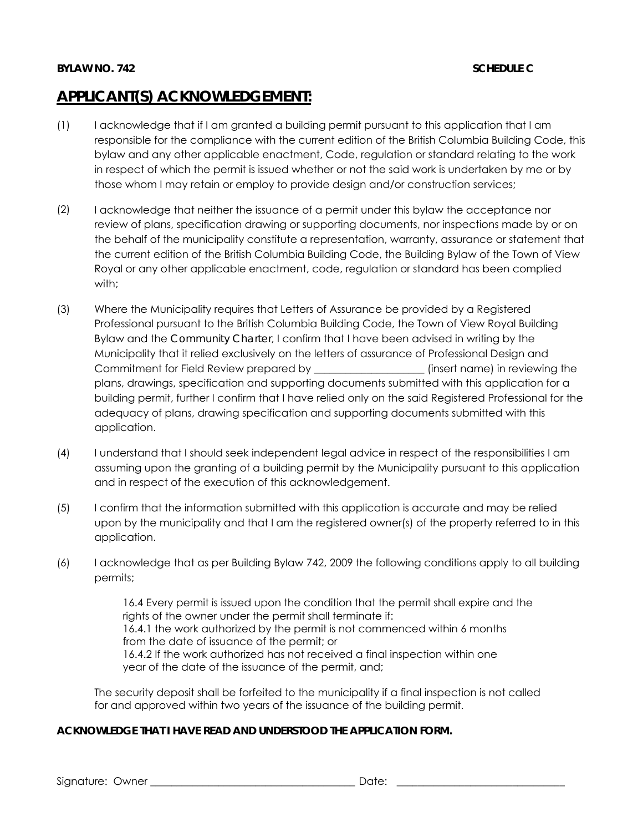### **BYLAW NO. 742** SCHEDULE C

# **APPLICANT(S) ACKNOWLEDGEMENT:**

- (1) I acknowledge that if I am granted a building permit pursuant to this application that I am responsible for the compliance with the current edition of the British Columbia Building Code, this bylaw and any other applicable enactment, Code, regulation or standard relating to the work in respect of which the permit is issued whether or not the said work is undertaken by me or by those whom I may retain or employ to provide design and/or construction services;
- (2) I acknowledge that neither the issuance of a permit under this bylaw the acceptance nor review of plans, specification drawing or supporting documents, nor inspections made by or on the behalf of the municipality constitute a representation, warranty, assurance or statement that the current edition of the British Columbia Building Code, the Building Bylaw of the Town of View Royal or any other applicable enactment, code, regulation or standard has been complied with;
- (3) Where the Municipality requires that Letters of Assurance be provided by a Registered Professional pursuant to the British Columbia Building Code, the Town of View Royal Building Bylaw and the *Community Charter*, I confirm that I have been advised in writing by the Municipality that it relied exclusively on the letters of assurance of Professional Design and Commitment for Field Review prepared by \_\_\_\_\_\_\_\_\_\_\_\_\_\_\_\_\_\_\_\_\_ (insert name) in reviewing the plans, drawings, specification and supporting documents submitted with this application for a building permit, further I confirm that I have relied only on the said Registered Professional for the adequacy of plans, drawing specification and supporting documents submitted with this application.
- (4) I understand that I should seek independent legal advice in respect of the responsibilities I am assuming upon the granting of a building permit by the Municipality pursuant to this application and in respect of the execution of this acknowledgement.
- (5) I confirm that the information submitted with this application is accurate and may be relied upon by the municipality and that I am the registered owner(s) of the property referred to in this application.
- (6) I acknowledge that as per Building Bylaw 742, 2009 the following conditions apply to all building permits;

16.4 Every permit is issued upon the condition that the permit shall expire and the rights of the owner under the permit shall terminate if: 16.4.1 the work authorized by the permit is not commenced within 6 months from the date of issuance of the permit; or 16.4.2 If the work authorized has not received a final inspection within one year of the date of the issuance of the permit, and;

The security deposit shall be forfeited to the municipality if a final inspection is not called for and approved within two years of the issuance of the building permit.

## **ACKNOWLEDGE THAT I HAVE READ AND UNDERSTOOD THE APPLICATION FORM.**

Signature: Owner \_\_\_\_\_\_\_\_\_\_\_\_\_\_\_\_\_\_\_\_\_\_\_\_\_\_\_\_\_\_\_\_\_\_\_\_\_\_\_ Date: \_\_\_\_\_\_\_\_\_\_\_\_\_\_\_\_\_\_\_\_\_\_\_\_\_\_\_\_\_\_\_\_